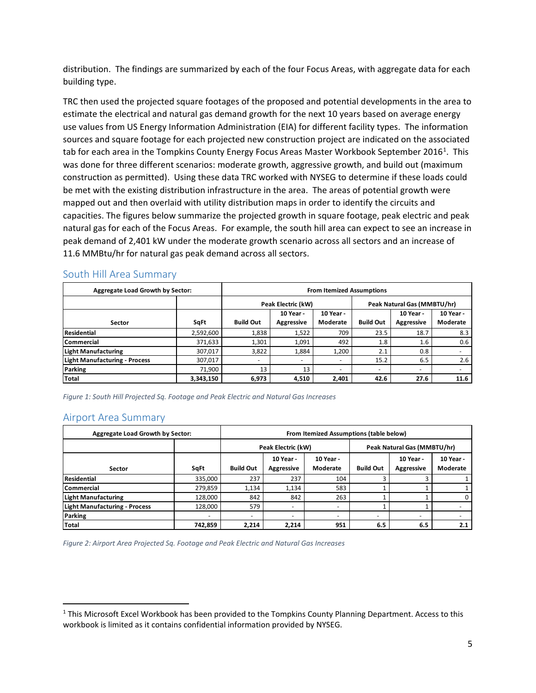distribution. The findings are summarized by each of the four Focus Areas, with aggregate data for each building type.

 TRC then used the projected square footages of the proposed and potential developments in the area to use values from US Energy Information Administration (EIA) for different facility types. The information construction as permitted). Using these data TRC worked with NYSEG to determine if these loads could be met with the existing distribution infrastructure in the area. The areas of potential growth were natural gas for each of the Focus Areas. For example, the south hill area can expect to see an increase in estimate the electrical and natural gas demand growth for the next 10 years based on average energy sources and square footage for each projected new construction project are indicated on the associated tab for each area in the Tompkins County Energy Focus Areas Master Workbook September 20[1](#page-5-0)6<sup>1</sup>. This was done for three different scenarios: moderate growth, aggressive growth, and build out (maximum mapped out and then overlaid with utility distribution maps in order to identify the circuits and capacities. The figures below summarize the projected growth in square footage, peak electric and peak peak demand of 2,401 kW under the moderate growth scenario across all sectors and an increase of 11.6 MMBtu/hr for natural gas peak demand across all sectors.

| <b>Aggregate Load Growth by Sector:</b> |           | <b>From Itemized Assumptions</b> |                          |                          |                             |                          |                          |  |
|-----------------------------------------|-----------|----------------------------------|--------------------------|--------------------------|-----------------------------|--------------------------|--------------------------|--|
|                                         |           | Peak Electric (kW)               |                          |                          | Peak Natural Gas (MMBTU/hr) |                          |                          |  |
|                                         |           |                                  | 10 Year -                | 10 Year -                |                             | 10 Year -                | 10 Year -                |  |
| Sector                                  | SqFt      | <b>Build Out</b>                 | Aggressive               | Moderate                 | <b>Build Out</b>            | <b>Aggressive</b>        | Moderate                 |  |
| <b>Residential</b>                      | 2,592,600 | 1,838                            | 1,522                    | 709                      | 23.5                        | 18.7                     | 8.3                      |  |
| <b>Commercial</b>                       | 371,633   | 1,301                            | 1,091                    | 492                      | 1.8                         | $1.6\,$                  | 0.6                      |  |
| <b>Light Manufacturing</b>              | 307,017   | 3,822                            | 1,884                    | 1,200                    | 2.1                         | 0.8                      | $\overline{\phantom{0}}$ |  |
| <b>Light Manufacturing - Process</b>    | 307,017   | $\sim$                           | $\overline{\phantom{a}}$ | $\overline{\phantom{a}}$ | 15.2                        | 6.5                      | 2.6                      |  |
| <b>Parking</b>                          | 71,900    | 13                               | 13                       | $\overline{\phantom{a}}$ | $\overline{\phantom{0}}$    | $\overline{\phantom{0}}$ | -                        |  |
| Total                                   | 3,343,150 | 6,973                            | 4,510                    | 2,401                    | 42.6                        | 27.6                     | 11.6                     |  |

#### South Hill Area Summary

*Figure 1: South Hill Projected Sq. Footage and Peak Electric and Natural Gas Increases* 

#### Airport Area Summary

 $\overline{\phantom{a}}$ 

|                                      | <b>Aggregate Load Growth by Sector:</b> |                                                                      |                          | From Itemized Assumptions (table below) |                             |                       |     |  |  |  |
|--------------------------------------|-----------------------------------------|----------------------------------------------------------------------|--------------------------|-----------------------------------------|-----------------------------|-----------------------|-----|--|--|--|
|                                      |                                         | Peak Electric (kW)                                                   |                          |                                         | Peak Natural Gas (MMBTU/hr) |                       |     |  |  |  |
| Sector                               | SqFt                                    | 10 Year -<br>10 Year -<br><b>Build Out</b><br>Moderate<br>Aggressive |                          | <b>Build Out</b>                        | 10 Year -<br>Aggressive     | 10 Year -<br>Moderate |     |  |  |  |
| Residential                          | 335,000                                 | 237                                                                  | 237                      | 104                                     |                             | ς                     |     |  |  |  |
| Commercial                           | 279,859                                 | 1,134                                                                | 1,134                    | 583                                     |                             |                       |     |  |  |  |
| <b>Light Manufacturing</b>           | 128,000                                 | 842                                                                  | 842                      | 263                                     |                             |                       |     |  |  |  |
| <b>Light Manufacturing - Process</b> | 128,000                                 | 579                                                                  | $\overline{\phantom{0}}$ | $\overline{\phantom{0}}$                |                             |                       |     |  |  |  |
| <b>Parking</b>                       |                                         | $\overline{\phantom{0}}$                                             | $\overline{\phantom{0}}$ | $\overline{\phantom{0}}$                |                             |                       |     |  |  |  |
| <b>Total</b>                         | 742,859                                 | 2,214                                                                | 2,214                    | 951                                     | 6.5                         | 6.5                   | 2.1 |  |  |  |

*Figure 2: Airport Area Projected Sq. Footage and Peak Electric and Natural Gas Increases* 

<span id="page-5-0"></span> $<sup>1</sup>$  This Microsoft Excel Workbook has been provided to the Tompkins County Planning Department. Access to this</sup> workbook is limited as it contains confidential information provided by NYSEG.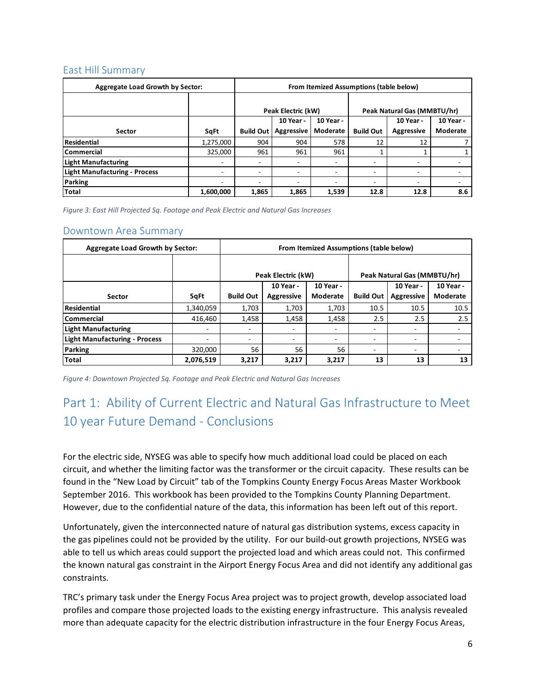## East Hill Summary

| <b>Aggregate Load Growth by Sector:</b> | From Itemized Assumptions (table below) |                                                   |                    |       |                             |                          |                          |
|-----------------------------------------|-----------------------------------------|---------------------------------------------------|--------------------|-------|-----------------------------|--------------------------|--------------------------|
|                                         |                                         |                                                   |                    |       |                             |                          |                          |
|                                         |                                         |                                                   | Peak Electric (kW) |       | Peak Natural Gas (MMBTU/hr) |                          |                          |
|                                         |                                         | 10 Year -<br>10 Year -                            |                    |       |                             | 10 Year -                | 10 Year -                |
| <b>Sector</b>                           | SqFt                                    | Moderate<br><b>Aggressive</b><br><b>Build Out</b> |                    |       | <b>Build Out</b>            | <b>Aggressive</b>        | Moderate                 |
| <b>Residential</b>                      | 1,275,000                               | 904                                               | 904                | 578   | 12                          | 12                       |                          |
| l Commercial                            | 325,000                                 | 961                                               | 961                | 961   |                             |                          |                          |
| <b>Light Manufacturing</b>              | $\overline{\phantom{0}}$                | ۰.                                                | -                  | ۰     |                             |                          |                          |
| <b>Light Manufacturing - Process</b>    |                                         | $\overline{\phantom{0}}$                          | ۰                  | ۰     | -                           | -                        |                          |
| Parking                                 |                                         | $\overline{\phantom{a}}$                          | ۰                  | Ξ.    | -                           | $\overline{\phantom{a}}$ | $\overline{\phantom{a}}$ |
| Total                                   | 1,600,000                               | 1,865                                             | 1,865              | 1,539 | 12.8                        | 12.8                     | 8.6                      |

 *Figure 3: East Hill Projected Sq. Footage and Peak Electric and Natural Gas Increases* 

#### Downtown Area Summary

| <b>Aggregate Load Growth by Sector:</b> |           | From Itemized Assumptions (table below) |                   |          |                             |                   |           |  |  |  |
|-----------------------------------------|-----------|-----------------------------------------|-------------------|----------|-----------------------------|-------------------|-----------|--|--|--|
|                                         |           |                                         |                   |          |                             |                   |           |  |  |  |
|                                         |           | Peak Electric (kW)                      |                   |          | Peak Natural Gas (MMBTU/hr) |                   |           |  |  |  |
|                                         |           | 10 Year -<br>10 Year -                  |                   |          |                             | 10 Year -         | 10 Year - |  |  |  |
| Sector                                  | SqFt      | <b>Build Out</b>                        | <b>Aggressive</b> | Moderate | <b>Build Out</b>            | <b>Aggressive</b> | Moderate  |  |  |  |
| Residential                             | 1,340,059 | 1,703                                   | 1,703             | 1,703    | 10.5                        | 10.5              | 10.5      |  |  |  |
| l Commercial                            | 416,460   | 1,458                                   | 1,458             | 1,458    | 2.5                         | 2.5               | 2.5       |  |  |  |
| Light Manufacturing                     | ۰         | -                                       | -                 |          |                             | ۰                 |           |  |  |  |
| Light Manufacturing - Process           | ٠.        | -                                       | ٠                 | -        |                             | -                 |           |  |  |  |
| Parking                                 | 320,000   | 56                                      | 56                | 56       |                             | ۰                 | ۰         |  |  |  |
| Total                                   | 2,076,519 | 3,217                                   | 3,217             | 3,217    | 13                          | 13                | 13        |  |  |  |

 *Figure 4: Downtown Projected Sq. Footage and Peak Electric and Natural Gas Increases* 

# 10 year Future Demand - Conclusions Part 1: Ability of Current Electric and Natural Gas Infrastructure to Meet

 September 2016. This workbook has been provided to the Tompkins County Planning Department. However, due to the confidential nature of the data, this information has been left out of this report. For the electric side, NYSEG was able to specify how much additional load could be placed on each circuit, and whether the limiting factor was the transformer or the circuit capacity. These results can be found in the "New Load by Circuit" tab of the Tompkins County Energy Focus Areas Master Workbook

 the gas pipelines could not be provided by the utility. For our build-out growth projections, NYSEG was able to tell us which areas could support the projected load and which areas could not. This confirmed the known natural gas constraint in the Airport Energy Focus Area and did not identify any additional gas constraints. Unfortunately, given the interconnected nature of natural gas distribution systems, excess capacity in

 profiles and compare those projected loads to the existing energy infrastructure. This analysis revealed TRC's primary task under the Energy Focus Area project was to project growth, develop associated load more than adequate capacity for the electric distribution infrastructure in the four Energy Focus Areas,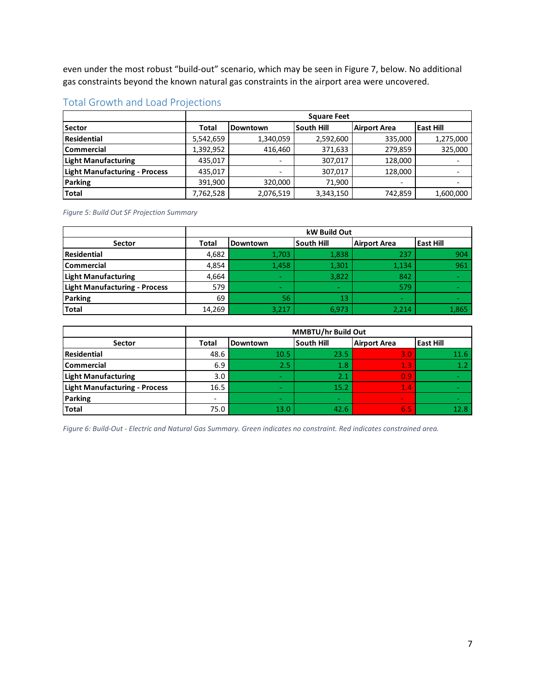gas constraints beyond the known natural gas constraints in the airport area were uncovered. even under the most robust "build-out" scenario, which may be seen in Figure 7, below. No additional

|--|

|                                      | <b>Square Feet</b> |                                                            |           |                          |           |  |  |
|--------------------------------------|--------------------|------------------------------------------------------------|-----------|--------------------------|-----------|--|--|
| <b>Sector</b>                        | Total              | South Hill<br><b>East Hill</b><br>Airport Area<br>Downtown |           |                          |           |  |  |
| Residential                          | 5,542,659          | 1,340,059                                                  | 2,592,600 | 335,000                  | 1,275,000 |  |  |
| <b>Commercial</b>                    | 1,392,952          | 416,460                                                    | 371,633   | 279,859                  | 325,000   |  |  |
| <b>Light Manufacturing</b>           | 435,017            | $\overline{\phantom{0}}$                                   | 307,017   | 128,000                  |           |  |  |
| <b>Light Manufacturing - Process</b> | 435.017            | $\overline{\phantom{0}}$                                   | 307,017   | 128,000                  |           |  |  |
| <b>Parking</b>                       | 391,900            | 320,000                                                    | 71,900    | $\overline{\phantom{a}}$ |           |  |  |
| Total                                | 7,762,528          | 2,076,519                                                  | 3,343,150 | 742,859                  | 1,600,000 |  |  |

*Figure 5: Build Out SF Projection Summary* 

|                                      | kW Build Out |                                                                          |        |        |       |  |  |  |
|--------------------------------------|--------------|--------------------------------------------------------------------------|--------|--------|-------|--|--|--|
| <b>Sector</b>                        | <b>Total</b> | South Hill<br><b>East Hill</b><br><b>Airport Area</b><br><b>Downtown</b> |        |        |       |  |  |  |
| Residential                          | 4,682        | 1,703                                                                    | 1,838  | 237    | 904   |  |  |  |
| <b>Commercial</b>                    | 4,854        | 1,458                                                                    | 1,301  | 1,134  | 961   |  |  |  |
| <b>Light Manufacturing</b>           | 4,664        | $\sim$                                                                   | 3,822  | 842    |       |  |  |  |
| <b>Light Manufacturing - Process</b> | 579          | $\sim$                                                                   | $\sim$ | 579    |       |  |  |  |
| Parking                              | 69           | 56                                                                       | 13     | $\sim$ |       |  |  |  |
| <b>Total</b>                         | 14,269       | 3,217                                                                    | 6,973  | 2,214  | 1,865 |  |  |  |

|                                      | <b>MMBTU/hr Build Out</b> |                                                                    |        |        |      |  |  |  |  |
|--------------------------------------|---------------------------|--------------------------------------------------------------------|--------|--------|------|--|--|--|--|
| Sector                               | <b>Total</b>              | lSouth Hill<br>Airport Area<br><b>East Hill</b><br><b>Downtown</b> |        |        |      |  |  |  |  |
| Residential                          | 48.6                      | 10.5                                                               | 23.5   | 3.0    | 11.6 |  |  |  |  |
| <b>Commercial</b>                    | 6.9                       | 2.5                                                                | 1.8    | 1.3    | 1.2  |  |  |  |  |
| <b>Light Manufacturing</b>           | 3.0                       | $\sim$                                                             | 2.1    | 0.9    |      |  |  |  |  |
| <b>Light Manufacturing - Process</b> | 16.5                      | $\sim$                                                             | 15.2   | 1.4    |      |  |  |  |  |
| <b>Parking</b>                       |                           | $\sim$                                                             | $\sim$ | $\sim$ |      |  |  |  |  |
| Total                                | 75.0                      | 13.0                                                               | 42.6   | 6.5    | 12.8 |  |  |  |  |

 *Figure 6: Build-Out - Electric and Natural Gas Summary. Green indicates no constraint. Red indicates constrained area.*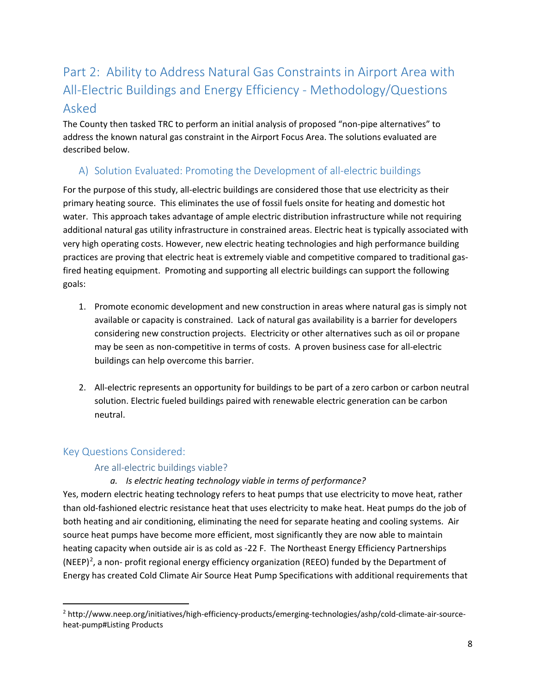# All-Electric Buildings and Energy Efficiency - Methodology/Questions Part 2: Ability to Address Natural Gas Constraints in Airport Area with Asked

 The County then tasked TRC to perform an initial analysis of proposed "non-pipe alternatives" to described below. address the known natural gas constraint in the Airport Focus Area. The solutions evaluated are

# A) Solution Evaluated: Promoting the Development of all-electric buildings

 additional natural gas utility infrastructure in constrained areas. Electric heat is typically associated with practices are proving that electric heat is extremely viable and competitive compared to traditional gasgoals: For the purpose of this study, all-electric buildings are considered those that use electricity as their primary heating source. This eliminates the use of fossil fuels onsite for heating and domestic hot water. This approach takes advantage of ample electric distribution infrastructure while not requiring very high operating costs. However, new electric heating technologies and high performance building fired heating equipment. Promoting and supporting all electric buildings can support the following

- goals:<br>1. Promote economic development and new construction in areas where natural gas is simply not available or capacity is constrained. Lack of natural gas availability is a barrier for developers considering new construction projects. Electricity or other alternatives such as oil or propane may be seen as non-competitive in terms of costs. A proven business case for all-electric buildings can help overcome this barrier.
	- 2. All-electric represents an opportunity for buildings to be part of a zero carbon or carbon neutral solution. Electric fueled buildings paired with renewable electric generation can be carbon neutral.

# Key Questions Considered:

**.** 

# Are all-electric buildings viable?

## *a. Is electric heating technology viable in terms of performance?*

 Yes, modern electric heating technology refers to heat pumps that use electricity to move heat, rather than old-fashioned electric resistance heat that uses electricity to make heat. Heat pumps do the job of both heating and air conditioning, eliminating the need for separate heating and cooling systems. Air source heat pumps have become more efficient, most significantly they are now able to maintain heating capacity when outside air is as cold as -22 F. The Northeast Energy Efficiency Partnerships (NEEP)<sup>[2](#page-8-0)</sup>, a non- profit regional energy efficiency organization (REEO) funded by the Department of Energy has created Cold Climate Air Source Heat Pump Specifications with additional requirements that

<span id="page-8-0"></span><sup>2</sup> http://www.neep.org/initiatives/high-efficiency-products/emerging-technologies/ashp/cold-climate-air-sourceheat-pump#Listing Products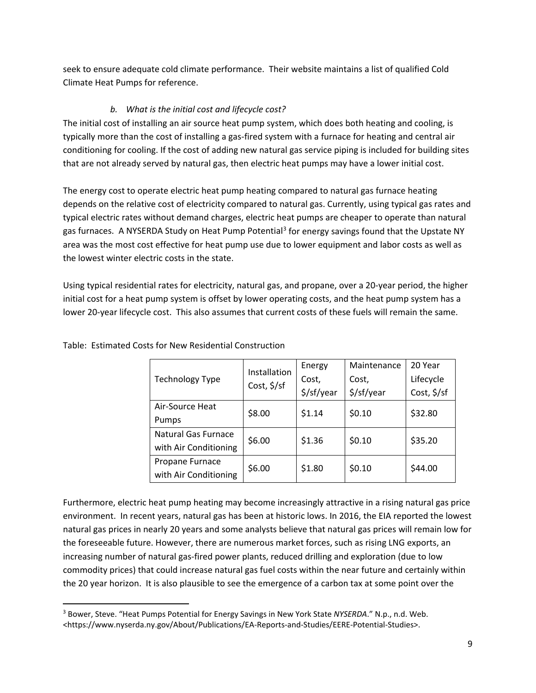seek to ensure adequate cold climate performance. Their website maintains a list of qualified Cold Climate Heat Pumps for reference.

## *b. What is the initial cost and lifecycle cost?*

 The initial cost of installing an air source heat pump system, which does both heating and cooling, is typically more than the cost of installing a gas-fired system with a furnace for heating and central air conditioning for cooling. If the cost of adding new natural gas service piping is included for building sites that are not already served by natural gas, then electric heat pumps may have a lower initial cost.

gas furnaces. A NYSERDA Study on Heat Pump Potential<sup>[3](#page-9-0)</sup> for energy savings found that the Upstate NY The energy cost to operate electric heat pump heating compared to natural gas furnace heating depends on the relative cost of electricity compared to natural gas. Currently, using typical gas rates and typical electric rates without demand charges, electric heat pumps are cheaper to operate than natural area was the most cost effective for heat pump use due to lower equipment and labor costs as well as the lowest winter electric costs in the state.

 Using typical residential rates for electricity, natural gas, and propane, over a 20-year period, the higher lower 20-year lifecycle cost. This also assumes that current costs of these fuels will remain the same. initial cost for a heat pump system is offset by lower operating costs, and the heat pump system has a

|                            | Installation            | Energy                        | Maintenance | 20 Year     |  |
|----------------------------|-------------------------|-------------------------------|-------------|-------------|--|
| <b>Technology Type</b>     |                         | Cost,                         | Cost,       | Lifecycle   |  |
|                            | Cost, $\frac{2}{5}$ /sf | $\frac{\xi}{\sqrt{sf}}$ /year | \$/sf/year  | Cost, \$/sf |  |
| Air-Source Heat            | \$8.00                  | \$1.14                        | \$0.10      | \$32.80     |  |
| Pumps                      |                         |                               |             |             |  |
| <b>Natural Gas Furnace</b> | \$6.00                  | \$1.36                        | \$0.10      | \$35.20     |  |
| with Air Conditioning      |                         |                               |             |             |  |
| Propane Furnace            | \$6.00                  | \$1.80                        | \$0.10      | \$44.00     |  |
| with Air Conditioning      |                         |                               |             |             |  |

Table: Estimated Costs for New Residential Construction

 $\overline{\phantom{a}}$ 

 the foreseeable future. However, there are numerous market forces, such as rising LNG exports, an Furthermore, electric heat pump heating may become increasingly attractive in a rising natural gas price environment. In recent years, natural gas has been at historic lows. In 2016, the EIA reported the lowest natural gas prices in nearly 20 years and some analysts believe that natural gas prices will remain low for increasing number of natural gas-fired power plants, reduced drilling and exploration (due to low commodity prices) that could increase natural gas fuel costs within the near future and certainly within the 20 year horizon. It is also plausible to see the emergence of a carbon tax at some point over the

<span id="page-9-0"></span> 3 Bower, Steve. "Heat Pumps Potential for Energy Savings in New York State *NYSERDA*." N.p., n.d. Web. <https://www.nyserda.ny.gov/About/Publications/EA-Reports-and-Studies/EERE-Potential-Studies>.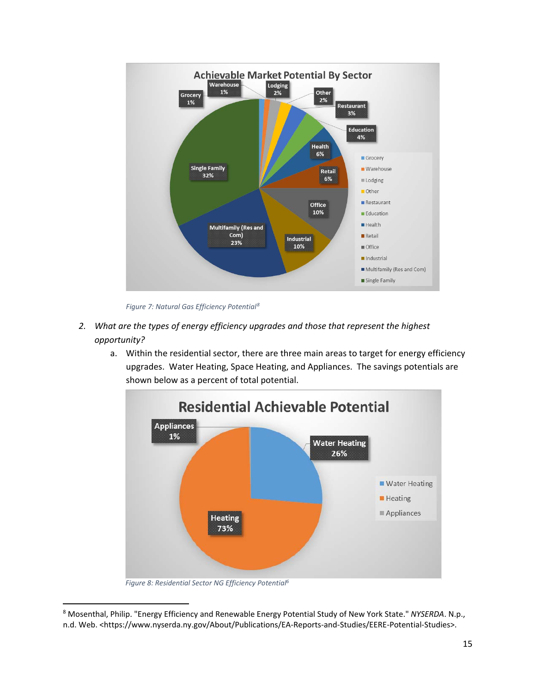

*Figure 7: Natural Gas Efficiency Potential[8](#page-15-0)* 

- *2. What are the types of energy efficiency upgrades and those that represent the highest opportunity?* 
	- a. Within the residential sector, there are three main areas to target for energy efficiency upgrades. Water Heating, Space Heating, and Appliances. The savings potentials are shown below as a percent of total potential.



*Figure 8: Residential Sector NG Efficiency Potential6* 

 $\overline{\phantom{a}}$ 

<span id="page-15-0"></span> 8 Mosenthal, Philip. "Energy Efficiency and Renewable Energy Potential Study of New York State." *NYSERDA*. N.p., n.d. Web. <https://www.nyserda.ny.gov/About/Publications/EA-Reports-and-Studies/EERE-Potential-Studies>.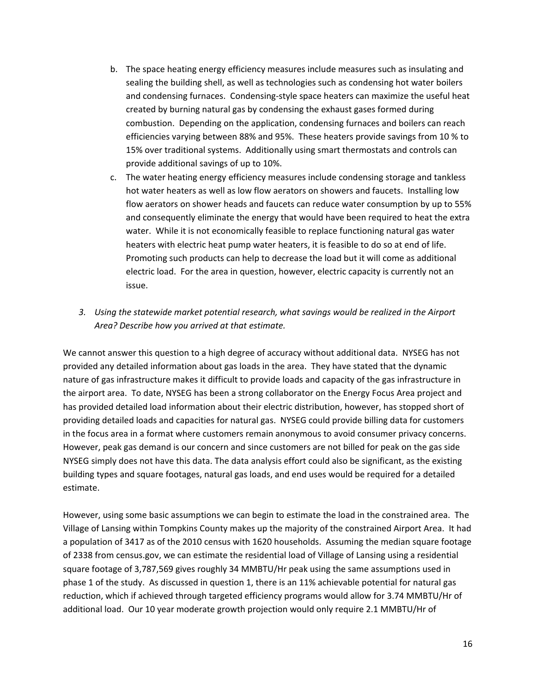- sealing the building shell, as well as technologies such as condensing hot water boilers and condensing furnaces. Condensing-style space heaters can maximize the useful heat combustion. Depending on the application, condensing furnaces and boilers can reach 15% over traditional systems. Additionally using smart thermostats and controls can provide additional savings of up to 10%. b. The space heating energy efficiency measures include measures such as insulating and created by burning natural gas by condensing the exhaust gases formed during efficiencies varying between 88% and 95%. These heaters provide savings from 10 % to
- provide additional savings of up to 10%.<br>c. The water heating energy efficiency measures include condensing storage and tankless hot water heaters as well as low flow aerators on showers and faucets. Installing low flow aerators on shower heads and faucets can reduce water consumption by up to 55% and consequently eliminate the energy that would have been required to heat the extra heaters with electric heat pump water heaters, it is feasible to do so at end of life. water. While it is not economically feasible to replace functioning natural gas water Promoting such products can help to decrease the load but it will come as additional electric load. For the area in question, however, electric capacity is currently not an issue.
- *3. Using the statewide market potential research, what savings would be realized in the Airport Area? Describe how you arrived at that estimate.*

 We cannot answer this question to a high degree of accuracy without additional data. NYSEG has not the airport area. To date, NYSEG has been a strong collaborator on the Energy Focus Area project and has provided detailed load information about their electric distribution, however, has stopped short of in the focus area in a format where customers remain anonymous to avoid consumer privacy concerns. provided any detailed information about gas loads in the area. They have stated that the dynamic nature of gas infrastructure makes it difficult to provide loads and capacity of the gas infrastructure in providing detailed loads and capacities for natural gas. NYSEG could provide billing data for customers However, peak gas demand is our concern and since customers are not billed for peak on the gas side NYSEG simply does not have this data. The data analysis effort could also be significant, as the existing building types and square footages, natural gas loads, and end uses would be required for a detailed estimate.

 square footage of 3,787,569 gives roughly 34 MMBTU/Hr peak using the same assumptions used in phase 1 of the study. As discussed in question 1, there is an 11% achievable potential for natural gas However, using some basic assumptions we can begin to estimate the load in the constrained area. The Village of Lansing within Tompkins County makes up the majority of the constrained Airport Area. It had a population of 3417 as of the 2010 census with 1620 households. Assuming the median square footage of 2338 from census.gov, we can estimate the residential load of Village of Lansing using a residential reduction, which if achieved through targeted efficiency programs would allow for 3.74 MMBTU/Hr of additional load. Our 10 year moderate growth projection would only require 2.1 MMBTU/Hr of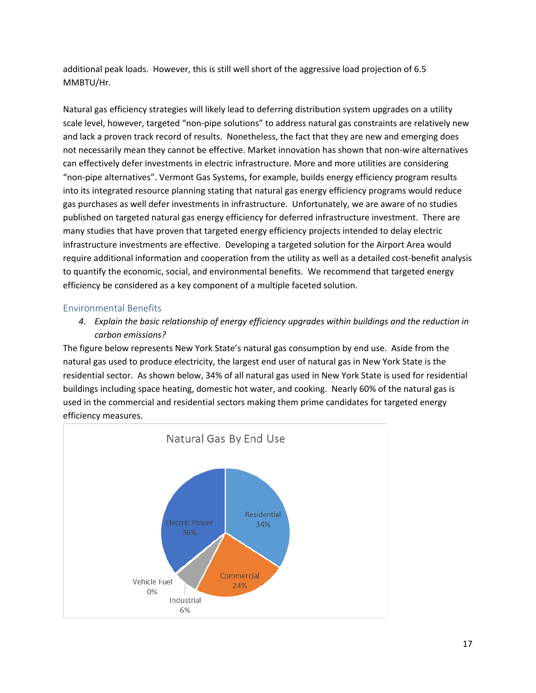additional peak loads. However, this is still well short of the aggressive load projection of 6.5 MMBTU/Hr.

 Natural gas efficiency strategies will likely lead to deferring distribution system upgrades on a utility not necessarily mean they cannot be effective. Market innovation has shown that non-wire alternatives can effectively defer investments in electric infrastructure. More and more utilities are considering many studies that have proven that targeted energy efficiency projects intended to delay electric infrastructure investments are effective. Developing a targeted solution for the Airport Area would require additional information and cooperation from the utility as well as a detailed cost-benefit analysis to quantify the economic, social, and environmental benefits. We recommend that targeted energy efficiency be considered as a key component of a multiple faceted solution. scale level, however, targeted "non-pipe solutions" to address natural gas constraints are relatively new and lack a proven track record of results. Nonetheless, the fact that they are new and emerging does "non-pipe alternatives". Vermont Gas Systems, for example, builds energy efficiency program results into its integrated resource planning stating that natural gas energy efficiency programs would reduce gas purchases as well defer investments in infrastructure. Unfortunately, we are aware of no studies published on targeted natural gas energy efficiency for deferred infrastructure investment. There are

### Environmental Benefits

 *4. Explain the basic relationship of energy efficiency upgrades within buildings and the reduction in carbon emissions?* 

 natural gas used to produce electricity, the largest end user of natural gas in New York State is the residential sector. As shown below, 34% of all natural gas used in New York State is used for residential used in the commercial and residential sectors making them prime candidates for targeted energy The figure below represents New York State's natural gas consumption by end use. Aside from the buildings including space heating, domestic hot water, and cooking. Nearly 60% of the natural gas is efficiency measures.

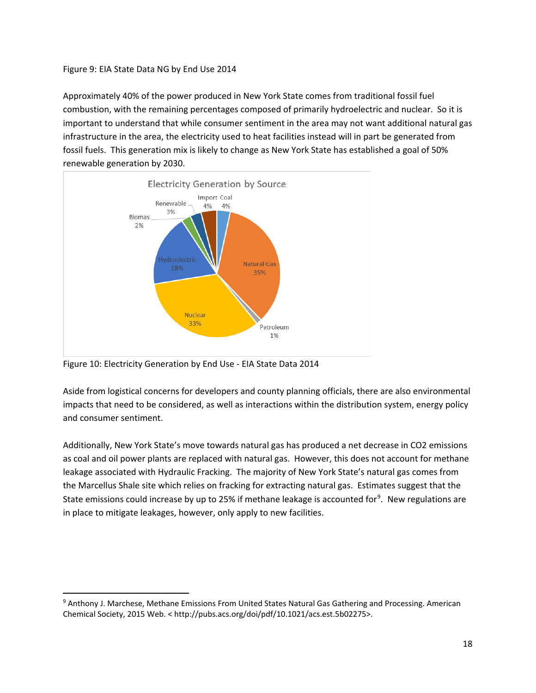Figure 9: EIA State Data NG by End Use 2014

 Approximately 40% of the power produced in New York State comes from traditional fossil fuel combustion, with the remaining percentages composed of primarily hydroelectric and nuclear. So it is important to understand that while consumer sentiment in the area may not want additional natural gas infrastructure in the area, the electricity used to heat facilities instead will in part be generated from fossil fuels. This generation mix is likely to change as New York State has established a goal of 50% renewable generation by 2030.



Figure 10: Electricity Generation by End Use - EIA State Data 2014

l

 impacts that need to be considered, as well as interactions within the distribution system, energy policy Aside from logistical concerns for developers and county planning officials, there are also environmental and consumer sentiment.

 as coal and oil power plants are replaced with natural gas. However, this does not account for methane leakage associated with Hydraulic Fracking. The majority of New York State's natural gas comes from the Marcellus Shale site which relies on fracking for extracting natural gas. Estimates suggest that the State emissions could increase by up to 25% if methane leakage is accounted for<sup>[9](#page-18-0)</sup>. New regulations are in place to mitigate leakages, however, only apply to new facilities. Additionally, New York State's move towards natural gas has produced a net decrease in CO2 emissions

<span id="page-18-0"></span><sup>&</sup>lt;sup>9</sup> Anthony J. Marchese, Methane Emissions From United States Natural Gas Gathering and Processing. American Chemical Society, 2015 Web. < http://pubs.acs.org/doi/pdf/10.1021/acs.est.5b02275>.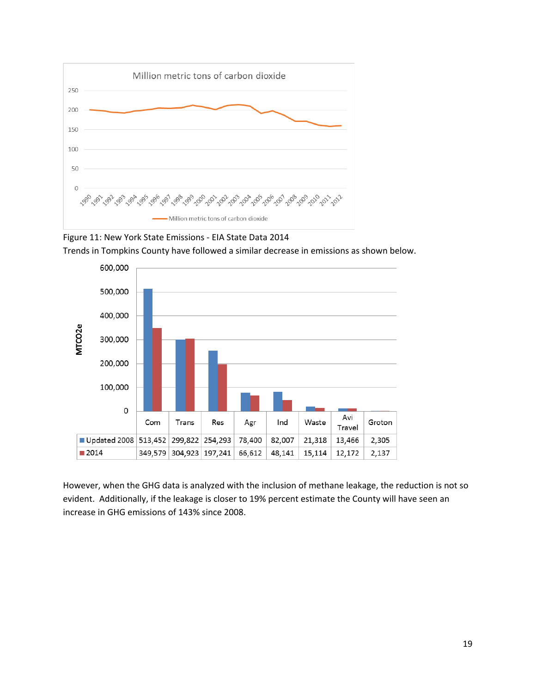





 However, when the GHG data is analyzed with the inclusion of methane leakage, the reduction is not so increase in GHG emissions of 143% since 2008. evident. Additionally, if the leakage is closer to 19% percent estimate the County will have seen an